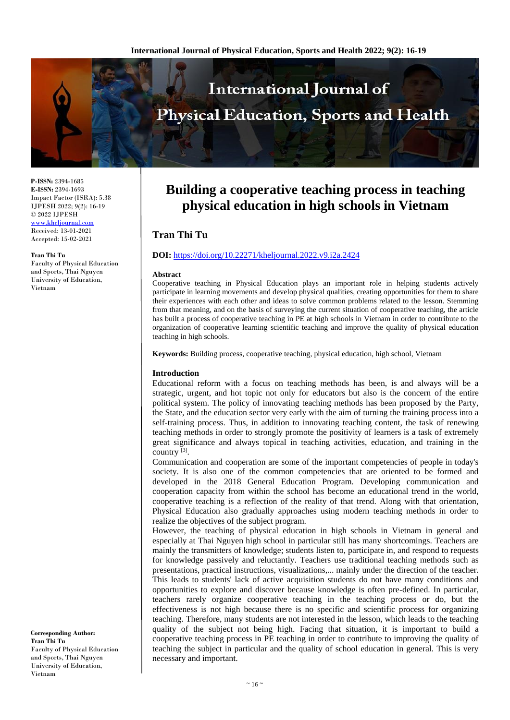

**P-ISSN:** 2394-1685 **E-ISSN:** 2394-1693 Impact Factor (ISRA): 5.38 IJPESH 2022; 9(2): 16-19 © 2022 IJPESH [www.kheljournal.com](http://www.kheljournal.com/) Received: 13-01-2021

Accepted: 15-02-2021

#### **Tran Thi Tu**

Faculty of Physical Education and Sports, Thai Nguyen University of Education, Vietnam

**Corresponding Author: Tran Thi Tu** Faculty of Physical Education and Sports, Thai Nguyen University of Education, Vietnam

# **Building a cooperative teaching process in teaching physical education in high schools in Vietnam**

# **Tran Thi Tu**

# **DOI:** <https://doi.org/10.22271/kheljournal.2022.v9.i2a.2424>

# **Abstract**

Cooperative teaching in Physical Education plays an important role in helping students actively participate in learning movements and develop physical qualities, creating opportunities for them to share their experiences with each other and ideas to solve common problems related to the lesson. Stemming from that meaning, and on the basis of surveying the current situation of cooperative teaching, the article has built a process of cooperative teaching in PE at high schools in Vietnam in order to contribute to the organization of cooperative learning scientific teaching and improve the quality of physical education teaching in high schools.

**Keywords:** Building process, cooperative teaching, physical education, high school, Vietnam

# **Introduction**

Educational reform with a focus on teaching methods has been, is and always will be a strategic, urgent, and hot topic not only for educators but also is the concern of the entire political system. The policy of innovating teaching methods has been proposed by the Party, the State, and the education sector very early with the aim of turning the training process into a self-training process. Thus, in addition to innovating teaching content, the task of renewing teaching methods in order to strongly promote the positivity of learners is a task of extremely great significance and always topical in teaching activities, education, and training in the country [3].

Communication and cooperation are some of the important competencies of people in today's society. It is also one of the common competencies that are oriented to be formed and developed in the 2018 General Education Program. Developing communication and cooperation capacity from within the school has become an educational trend in the world, cooperative teaching is a reflection of the reality of that trend. Along with that orientation, Physical Education also gradually approaches using modern teaching methods in order to realize the objectives of the subject program.

However, the teaching of physical education in high schools in Vietnam in general and especially at Thai Nguyen high school in particular still has many shortcomings. Teachers are mainly the transmitters of knowledge; students listen to, participate in, and respond to requests for knowledge passively and reluctantly. Teachers use traditional teaching methods such as presentations, practical instructions, visualizations,... mainly under the direction of the teacher. This leads to students' lack of active acquisition students do not have many conditions and opportunities to explore and discover because knowledge is often pre-defined. In particular, teachers rarely organize cooperative teaching in the teaching process or do, but the effectiveness is not high because there is no specific and scientific process for organizing teaching. Therefore, many students are not interested in the lesson, which leads to the teaching quality of the subject not being high. Facing that situation, it is important to build a cooperative teaching process in PE teaching in order to contribute to improving the quality of teaching the subject in particular and the quality of school education in general. This is very necessary and important.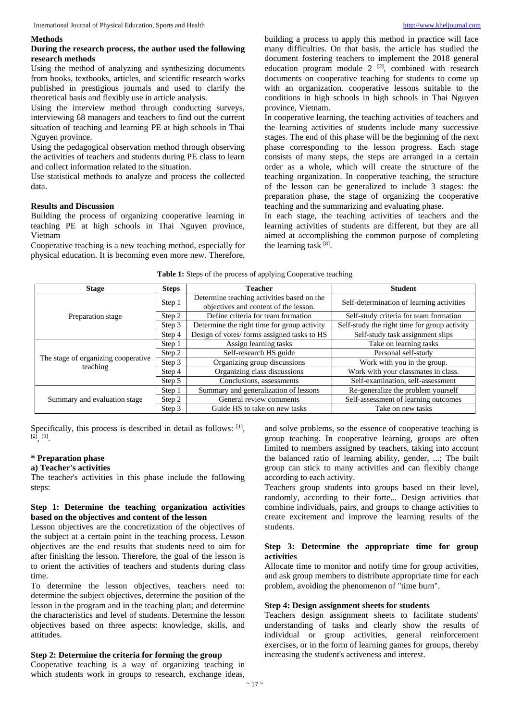#### **Methods**

### **During the research process, the author used the following research methods**

Using the method of analyzing and synthesizing documents from books, textbooks, articles, and scientific research works published in prestigious journals and used to clarify the theoretical basis and flexibly use in article analysis.

Using the interview method through conducting surveys, interviewing 68 managers and teachers to find out the current situation of teaching and learning PE at high schools in Thai Nguyen province.

Using the pedagogical observation method through observing the activities of teachers and students during PE class to learn and collect information related to the situation.

Use statistical methods to analyze and process the collected data.

#### **Results and Discussion**

Building the process of organizing cooperative learning in teaching PE at high schools in Thai Nguyen province, Vietnam

Cooperative teaching is a new teaching method, especially for physical education. It is becoming even more new. Therefore, building a process to apply this method in practice will face many difficulties. On that basis, the article has studied the document fostering teachers to implement the 2018 general education program module  $2^{[2]}$ , combined with research documents on cooperative teaching for students to come up with an organization. cooperative lessons suitable to the conditions in high schools in high schools in Thai Nguyen province, Vietnam.

In cooperative learning, the teaching activities of teachers and the learning activities of students include many successive stages. The end of this phase will be the beginning of the next phase corresponding to the lesson progress. Each stage consists of many steps, the steps are arranged in a certain order as a whole, which will create the structure of the teaching organization. In cooperative teaching, the structure of the lesson can be generalized to include 3 stages: the preparation phase, the stage of organizing the cooperative teaching and the summarizing and evaluating phase.

In each stage, the teaching activities of teachers and the learning activities of students are different, but they are all aimed at accomplishing the common purpose of completing the learning task  $[8]$ .

| <b>Stage</b>                                    | <b>Steps</b> | <b>Teacher</b>                                                                      | <b>Student</b>                               |
|-------------------------------------------------|--------------|-------------------------------------------------------------------------------------|----------------------------------------------|
| Preparation stage                               | Step 1       | Determine teaching activities based on the<br>objectives and content of the lesson. | Self-determination of learning activities    |
|                                                 | Step 2       | Define criteria for team formation                                                  | Self-study criteria for team formation       |
|                                                 | Step 3       | Determine the right time for group activity                                         | Self-study the right time for group activity |
|                                                 | Step 4       | Design of votes/ forms assigned tasks to HS                                         | Self-study task assignment slips             |
| The stage of organizing cooperative<br>teaching | Step 1       | Assign learning tasks                                                               | Take on learning tasks                       |
|                                                 | Step 2       | Self-research HS guide                                                              | Personal self-study                          |
|                                                 | Step 3       | Organizing group discussions                                                        | Work with you in the group.                  |
|                                                 | Step 4       | Organizing class discussions                                                        | Work with your classmates in class.          |
|                                                 | Step 5       | Conclusions, assessments                                                            | Self-examination, self-assessment            |
| Summary and evaluation stage                    | Step 1       | Summary and generalization of lessons                                               | Re-generalize the problem yourself           |
|                                                 | Step 2       | General review comments                                                             | Self-assessment of learning outcomes         |
|                                                 | Step 3       | Guide HS to take on new tasks                                                       | Take on new tasks                            |

# **Table 1:** Steps of the process of applying Cooperative teaching

Specifically, this process is described in detail as follows: [1],  $[2]$ ,  $[9]$ .

#### **\* Preparation phase**

# **a) Teacher's activities**

The teacher's activities in this phase include the following steps:

# **Step 1: Determine the teaching organization activities based on the objectives and content of the lesson**

Lesson objectives are the concretization of the objectives of the subject at a certain point in the teaching process. Lesson objectives are the end results that students need to aim for after finishing the lesson. Therefore, the goal of the lesson is to orient the activities of teachers and students during class time.

To determine the lesson objectives, teachers need to: determine the subject objectives, determine the position of the lesson in the program and in the teaching plan; and determine the characteristics and level of students. Determine the lesson objectives based on three aspects: knowledge, skills, and attitudes.

# **Step 2: Determine the criteria for forming the group**

Cooperative teaching is a way of organizing teaching in which students work in groups to research, exchange ideas,

and solve problems, so the essence of cooperative teaching is group teaching. In cooperative learning, groups are often limited to members assigned by teachers, taking into account the balanced ratio of learning ability, gender, ...; The built group can stick to many activities and can flexibly change according to each activity.

Teachers group students into groups based on their level, randomly, according to their forte... Design activities that combine individuals, pairs, and groups to change activities to create excitement and improve the learning results of the students.

# **Step 3: Determine the appropriate time for group activities**

Allocate time to monitor and notify time for group activities, and ask group members to distribute appropriate time for each problem, avoiding the phenomenon of "time burn".

# **Step 4: Design assignment sheets for students**

Teachers design assignment sheets to facilitate students' understanding of tasks and clearly show the results of individual or group activities, general reinforcement exercises, or in the form of learning games for groups, thereby increasing the student's activeness and interest.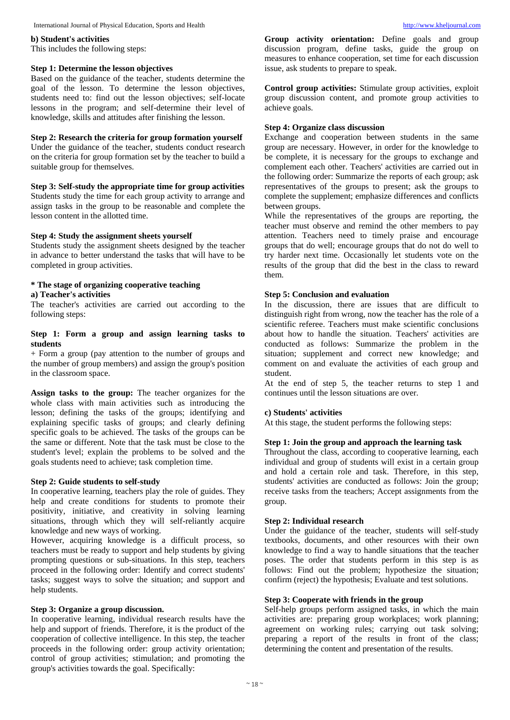# **b) Student's activities**

This includes the following steps:

#### **Step 1: Determine the lesson objectives**

Based on the guidance of the teacher, students determine the goal of the lesson. To determine the lesson objectives, students need to: find out the lesson objectives; self-locate lessons in the program; and self-determine their level of knowledge, skills and attitudes after finishing the lesson.

# **Step 2: Research the criteria for group formation yourself**

Under the guidance of the teacher, students conduct research on the criteria for group formation set by the teacher to build a suitable group for themselves.

# **Step 3: Self-study the appropriate time for group activities**

Students study the time for each group activity to arrange and assign tasks in the group to be reasonable and complete the lesson content in the allotted time.

# **Step 4: Study the assignment sheets yourself**

Students study the assignment sheets designed by the teacher in advance to better understand the tasks that will have to be completed in group activities.

# **\* The stage of organizing cooperative teaching**

# **a) Teacher's activities**

The teacher's activities are carried out according to the following steps:

# **Step 1: Form a group and assign learning tasks to students**

+ Form a group (pay attention to the number of groups and the number of group members) and assign the group's position in the classroom space.

**Assign tasks to the group:** The teacher organizes for the whole class with main activities such as introducing the lesson; defining the tasks of the groups; identifying and explaining specific tasks of groups; and clearly defining specific goals to be achieved. The tasks of the groups can be the same or different. Note that the task must be close to the student's level; explain the problems to be solved and the goals students need to achieve; task completion time.

# **Step 2: Guide students to self-study**

In cooperative learning, teachers play the role of guides. They help and create conditions for students to promote their positivity, initiative, and creativity in solving learning situations, through which they will self-reliantly acquire knowledge and new ways of working.

However, acquiring knowledge is a difficult process, so teachers must be ready to support and help students by giving prompting questions or sub-situations. In this step, teachers proceed in the following order: Identify and correct students' tasks; suggest ways to solve the situation; and support and help students.

## **Step 3: Organize a group discussion.**

In cooperative learning, individual research results have the help and support of friends. Therefore, it is the product of the cooperation of collective intelligence. In this step, the teacher proceeds in the following order: group activity orientation; control of group activities; stimulation; and promoting the group's activities towards the goal. Specifically:

**Group activity orientation:** Define goals and group discussion program, define tasks, guide the group on measures to enhance cooperation, set time for each discussion issue, ask students to prepare to speak.

**Control group activities:** Stimulate group activities, exploit group discussion content, and promote group activities to achieve goals.

# **Step 4: Organize class discussion**

Exchange and cooperation between students in the same group are necessary. However, in order for the knowledge to be complete, it is necessary for the groups to exchange and complement each other. Teachers' activities are carried out in the following order: Summarize the reports of each group; ask representatives of the groups to present; ask the groups to complete the supplement; emphasize differences and conflicts between groups.

While the representatives of the groups are reporting, the teacher must observe and remind the other members to pay attention. Teachers need to timely praise and encourage groups that do well; encourage groups that do not do well to try harder next time. Occasionally let students vote on the results of the group that did the best in the class to reward them.

#### **Step 5: Conclusion and evaluation**

In the discussion, there are issues that are difficult to distinguish right from wrong, now the teacher has the role of a scientific referee. Teachers must make scientific conclusions about how to handle the situation. Teachers' activities are conducted as follows: Summarize the problem in the situation; supplement and correct new knowledge; and comment on and evaluate the activities of each group and student.

At the end of step 5, the teacher returns to step 1 and continues until the lesson situations are over.

#### **c) Students' activities**

At this stage, the student performs the following steps:

# **Step 1: Join the group and approach the learning task**

Throughout the class, according to cooperative learning, each individual and group of students will exist in a certain group and hold a certain role and task. Therefore, in this step, students' activities are conducted as follows: Join the group; receive tasks from the teachers; Accept assignments from the group.

# **Step 2: Individual research**

Under the guidance of the teacher, students will self-study textbooks, documents, and other resources with their own knowledge to find a way to handle situations that the teacher poses. The order that students perform in this step is as follows: Find out the problem; hypothesize the situation; confirm (reject) the hypothesis; Evaluate and test solutions.

#### **Step 3: Cooperate with friends in the group**

Self-help groups perform assigned tasks, in which the main activities are: preparing group workplaces; work planning; agreement on working rules; carrying out task solving; preparing a report of the results in front of the class; determining the content and presentation of the results.